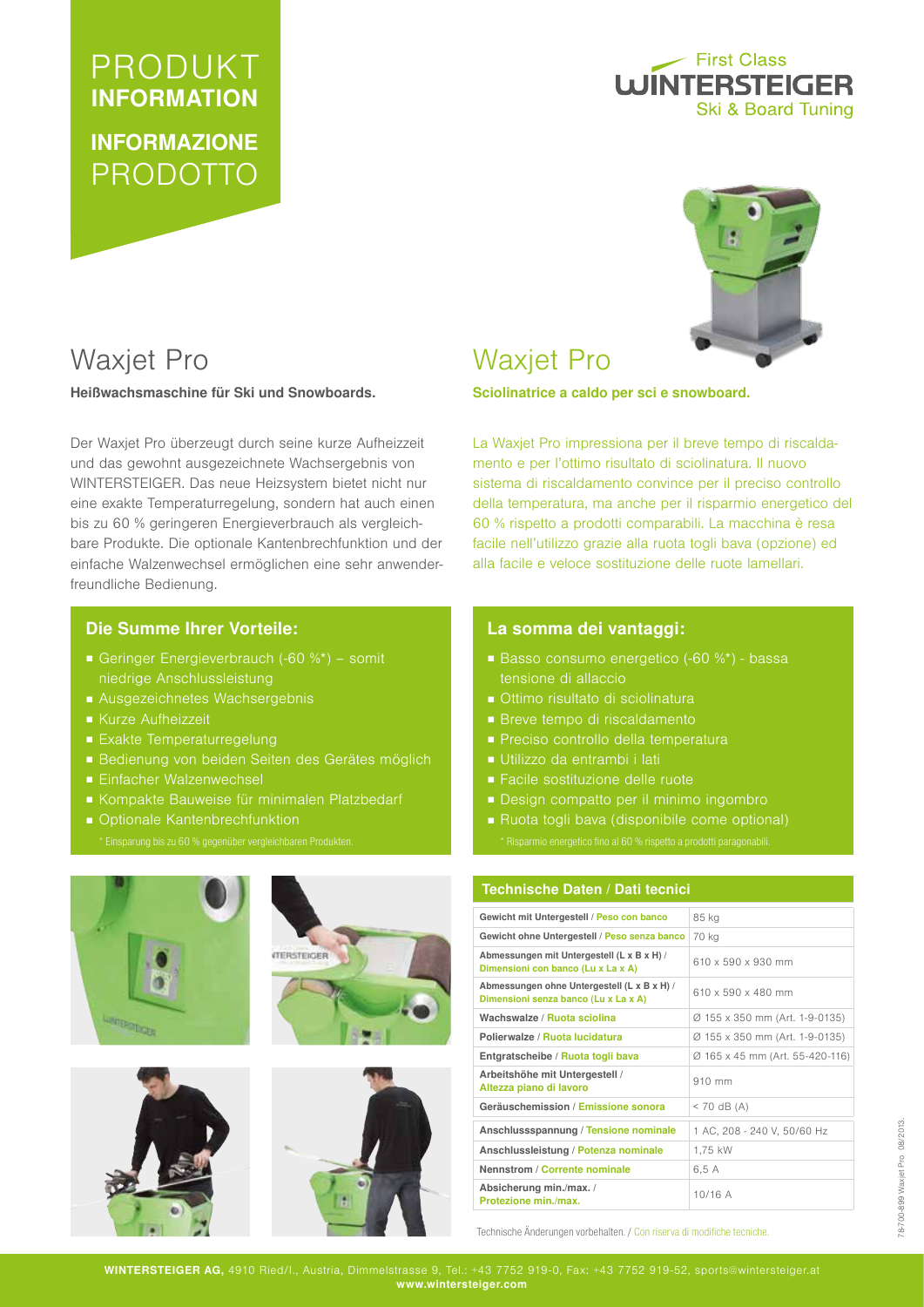# PRODUKT INFORMATION INFORMAZIONE PRODOTTO

## - First Class **WINTERSTEIGER** Ski & Board Tuning



## Waxjet Pro

Heißwachsmaschine für Ski und Snowboards.

Der Waxjet Pro überzeugt durch seine kurze Aufheizzeit und das gewohnt ausgezeichnete Wachsergebnis von WINTERSTEIGER. Das neue Heizsystem bietet nicht nur eine exakte Temperaturregelung, sondern hat auch einen bis zu 60 % geringeren Energieverbrauch als vergleichbare Produkte. Die optionale Kantenbrechfunktion und der einfache Walzenwechsel ermöglichen eine sehr anwenderfreundliche Bedienung.

## Die Summe Ihrer Vorteile:

- Geringer Energieverbrauch (-60 %\*) somit niedrige Anschlussleistung
- Ausgezeichnetes Wachsergebnis
- Kurze Aufheizzeit
- Exakte Temperaturregelung
- Bedienung von beiden Seiten des Gerätes möglich
- Einfacher Walzenwechsel
- Kompakte Bauweise für minimalen Platzbedarf
- Optionale Kantenbrechfunktion









## Waxjet Pro

Sciolinatrice a caldo per sci e snowboard.

La Waxjet Pro impressiona per il breve tempo di riscaldamento e per l'ottimo risultato di sciolinatura. Il nuovo sistema di riscaldamento convince per il preciso controllo della temperatura, ma anche per il risparmio energetico del 60 % rispetto a prodotti comparabili. La macchina è resa facile nell'utilizzo grazie alla ruota togli bava (opzione) ed alla facile e veloce sostituzione delle ruote lamellari.

### La somma dei vantaggi:

- Basso consumo energetico (-60 %\*) bassa tensione di allaccio
- Ottimo risultato di sciolinatura
- Breve tempo di riscaldamento
- Preciso controllo della temperatura
- Utilizzo da entrambi i lati
- Facile sostituzione delle ruote
- Design compatto per il minimo ingombro
- Ruota togli bava (disponibile come optional)

#### Technische Daten / Dati tecnici

| Gewicht mit Untergestell / Peso con banco                                           | 85 kg                           |  |
|-------------------------------------------------------------------------------------|---------------------------------|--|
| Gewicht ohne Untergestell / Peso senza banco                                        | 70 kg                           |  |
| Abmessungen mit Untergestell (L x B x H) /<br>Dimensioni con banco (Lu x La x A)    | 610 x 590 x 930 mm              |  |
| Abmessungen ohne Untergestell (L x B x H) /<br>Dimensioni senza banco (Lu x La x A) | 610 x 590 x 480 mm              |  |
| Wachswalze / Ruota sciolina                                                         | Ø 155 x 350 mm (Art. 1-9-0135)  |  |
| Polierwalze / Ruota lucidatura                                                      | Ø 155 x 350 mm (Art. 1-9-0135)  |  |
| Entgratscheibe / Ruota togli bava                                                   | Ø 165 x 45 mm (Art. 55-420-116) |  |
| Arbeitshöhe mit Untergestell /<br>Altezza piano di lavoro                           | $910$ mm                        |  |
| Geräuschemission / Emissione sonora                                                 | $<$ 70 dB (A)                   |  |
| Anschlussspannung / Tensione nominale                                               | 1 AC, 208 - 240 V, 50/60 Hz     |  |
| Anschlussleistung / Potenza nominale                                                | 1,75 kW                         |  |
| Nennstrom / Corrente nominale                                                       | 6,5 A                           |  |
| Absicherung min./max./<br>Protezione min./max.                                      | 10/16A                          |  |

Technische Änderungen vorbehalten. / Con riserva di modifiche tecniche.